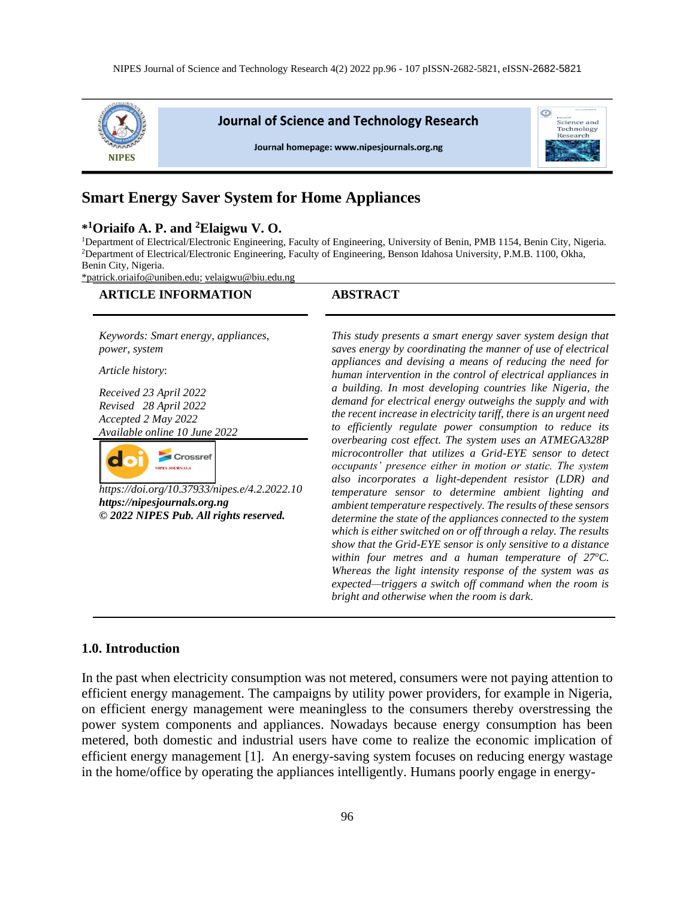

# **Smart Energy Saver System for Home Appliances**

# **\* <sup>1</sup>Oriaifo A. P. and <sup>2</sup>Elaigwu V. O.**

<sup>1</sup>Department of Electrical/Electronic Engineering, Faculty of Engineering, University of Benin, PMB 1154, Benin City, Nigeria. <sup>2</sup>Department of Electrical/Electronic Engineering, Faculty of Engineering, Benson Idahosa University, P.M.B. 1100, Okha, Benin City, Nigeria.

[\\*patrick.oriaifo@uniben.edu;](mailto:*patrick.oriaifo@uniben.edu) [velaigwu@biu.edu.ng](mailto:velaigwu@biu.edu.ng)

| <b>ARTICLE INFORMATION</b>                                                                                                                                                                                                                                                                                                                                | <b>ABSTRACT</b>                                                                                                                                                                                                                                                                                                                                                                                                                                                                                                                                                                                                                                                                                                                                                                                                                                                                                                                                                                                                                                                                                                                                                                                                                                                                                                                             |
|-----------------------------------------------------------------------------------------------------------------------------------------------------------------------------------------------------------------------------------------------------------------------------------------------------------------------------------------------------------|---------------------------------------------------------------------------------------------------------------------------------------------------------------------------------------------------------------------------------------------------------------------------------------------------------------------------------------------------------------------------------------------------------------------------------------------------------------------------------------------------------------------------------------------------------------------------------------------------------------------------------------------------------------------------------------------------------------------------------------------------------------------------------------------------------------------------------------------------------------------------------------------------------------------------------------------------------------------------------------------------------------------------------------------------------------------------------------------------------------------------------------------------------------------------------------------------------------------------------------------------------------------------------------------------------------------------------------------|
| Keywords: Smart energy, appliances,<br>power, system<br>Article history:<br>Received 23 April 2022<br>Revised 28 April 2022<br>Accepted 2 May 2022<br>Available online 10 June 2022<br><b>Crossref</b><br><b>TIPES JOURNALS</b><br>https://doi.org/10.37933/nipes.e/4.2.2022.10<br>https://nipesjournals.org.ng<br>© 2022 NIPES Pub. All rights reserved. | This study presents a smart energy saver system design that<br>saves energy by coordinating the manner of use of electrical<br>appliances and devising a means of reducing the need for<br>human intervention in the control of electrical appliances in<br>a building. In most developing countries like Nigeria, the<br>demand for electrical energy outweighs the supply and with<br>the recent increase in electricity tariff, there is an urgent need<br>to efficiently regulate power consumption to reduce its<br>overbearing cost effect. The system uses an ATMEGA328P<br>microcontroller that utilizes a Grid-EYE sensor to detect<br>occupants' presence either in motion or static. The system<br>also incorporates a light-dependent resistor (LDR) and<br>temperature sensor to determine ambient lighting and<br>ambient temperature respectively. The results of these sensors<br>determine the state of the appliances connected to the system<br>which is either switched on or off through a relay. The results<br>show that the Grid-EYE sensor is only sensitive to a distance<br>within four metres and a human temperature of $27^{\circ}$ C.<br>Whereas the light intensity response of the system was as<br>expected—triggers a switch off command when the room is<br>bright and otherwise when the room is dark. |

### **1.0. Introduction**

In the past when electricity consumption was not metered, consumers were not paying attention to efficient energy management. The campaigns by utility power providers, for example in Nigeria, on efficient energy management were meaningless to the consumers thereby overstressing the power system components and appliances. Nowadays because energy consumption has been metered, both domestic and industrial users have come to realize the economic implication of efficient energy management [1]. An energy-saving system focuses on reducing energy wastage in the home/office by operating the appliances intelligently. Humans poorly engage in energy-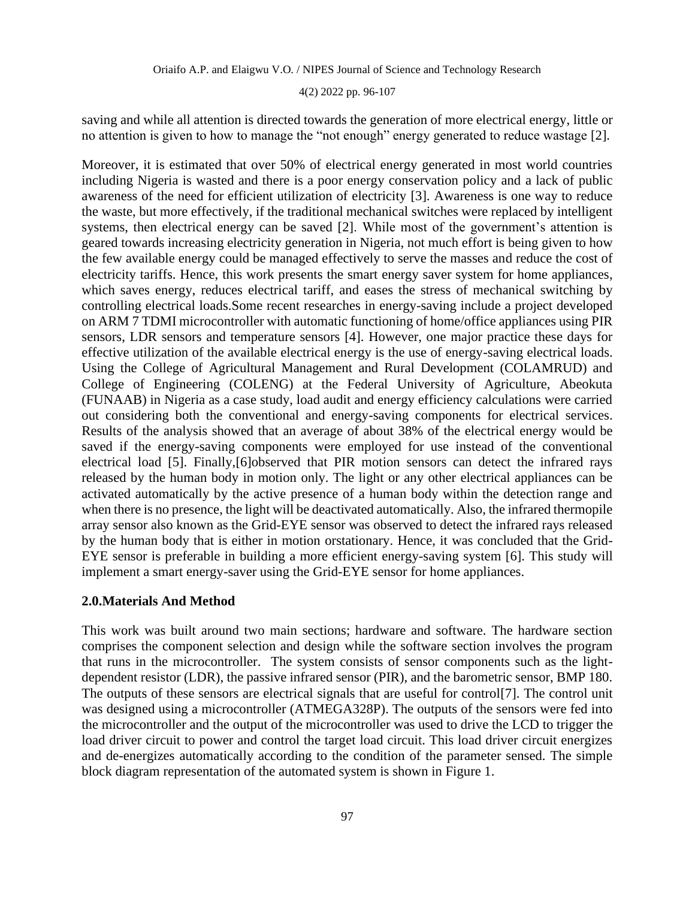4(2) 2022 pp. 96-107

saving and while all attention is directed towards the generation of more electrical energy, little or no attention is given to how to manage the "not enough" energy generated to reduce wastage [2].

Moreover, it is estimated that over 50% of electrical energy generated in most world countries including Nigeria is wasted and there is a poor energy conservation policy and a lack of public awareness of the need for efficient utilization of electricity [3]. Awareness is one way to reduce the waste, but more effectively, if the traditional mechanical switches were replaced by intelligent systems, then electrical energy can be saved [2]. While most of the government's attention is geared towards increasing electricity generation in Nigeria, not much effort is being given to how the few available energy could be managed effectively to serve the masses and reduce the cost of electricity tariffs. Hence, this work presents the smart energy saver system for home appliances, which saves energy, reduces electrical tariff, and eases the stress of mechanical switching by controlling electrical loads.Some recent researches in energy-saving include a project developed on ARM 7 TDMI microcontroller with automatic functioning of home/office appliances using PIR sensors, LDR sensors and temperature sensors [4]. However, one major practice these days for effective utilization of the available electrical energy is the use of energy-saving electrical loads. Using the College of Agricultural Management and Rural Development (COLAMRUD) and College of Engineering (COLENG) at the Federal University of Agriculture, Abeokuta (FUNAAB) in Nigeria as a case study, load audit and energy efficiency calculations were carried out considering both the conventional and energy-saving components for electrical services. Results of the analysis showed that an average of about 38% of the electrical energy would be saved if the energy-saving components were employed for use instead of the conventional electrical load [5]. Finally,[6]observed that PIR motion sensors can detect the infrared rays released by the human body in motion only. The light or any other electrical appliances can be activated automatically by the active presence of a human body within the detection range and when there is no presence, the light will be deactivated automatically. Also, the infrared thermopile array sensor also known as the Grid-EYE sensor was observed to detect the infrared rays released by the human body that is either in motion orstationary. Hence, it was concluded that the Grid-EYE sensor is preferable in building a more efficient energy-saving system [6]. This study will implement a smart energy-saver using the Grid-EYE sensor for home appliances.

#### **2.0.Materials And Method**

This work was built around two main sections; hardware and software. The hardware section comprises the component selection and design while the software section involves the program that runs in the microcontroller. The system consists of sensor components such as the lightdependent resistor (LDR), the passive infrared sensor (PIR), and the barometric sensor, BMP 180. The outputs of these sensors are electrical signals that are useful for control[7]. The control unit was designed using a microcontroller (ATMEGA328P). The outputs of the sensors were fed into the microcontroller and the output of the microcontroller was used to drive the LCD to trigger the load driver circuit to power and control the target load circuit. This load driver circuit energizes and de-energizes automatically according to the condition of the parameter sensed. The simple block diagram representation of the automated system is shown in Figure 1.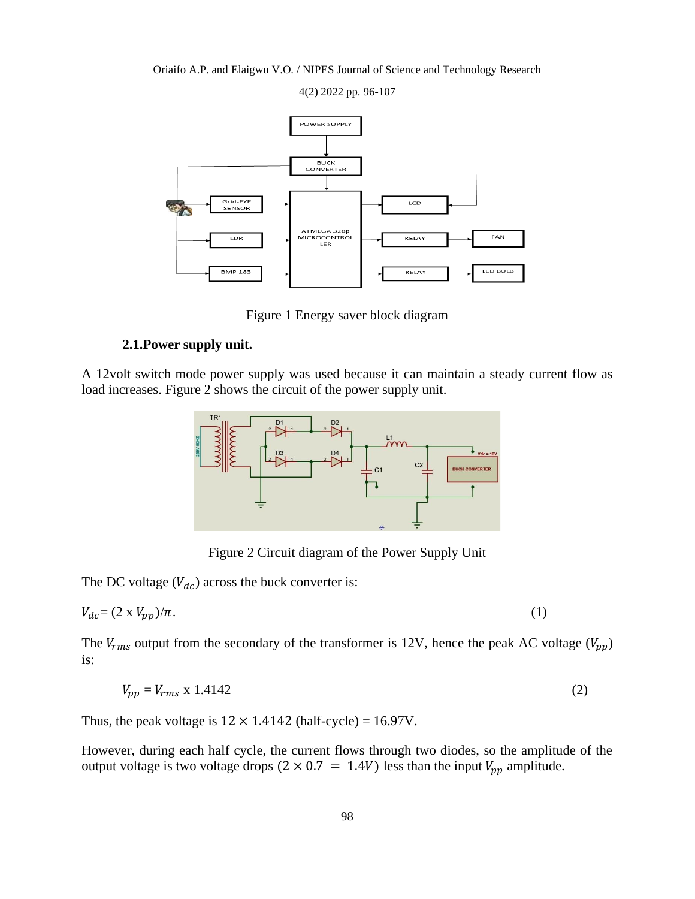

4(2) 2022 pp. 96-107

Figure 1 Energy saver block diagram

# **2.1.Power supply unit.**

A 12volt switch mode power supply was used because it can maintain a steady current flow as load increases. Figure 2 shows the circuit of the power supply unit.



Figure 2 Circuit diagram of the Power Supply Unit

The DC voltage  $(V_{dc})$  across the buck converter is:

$$
V_{dc} = (2 \times V_{pp})/\pi. \tag{1}
$$

The  $V_{rms}$  output from the secondary of the transformer is 12V, hence the peak AC voltage ( $V_{pp}$ ) is:

$$
V_{pp} = V_{rms} \times 1.4142 \tag{2}
$$

Thus, the peak voltage is  $12 \times 1.4142$  (half-cycle) = 16.97V.

However, during each half cycle, the current flows through two diodes, so the amplitude of the output voltage is two voltage drops  $(2 \times 0.7 = 1.4V)$  less than the input  $V_{pp}$  amplitude.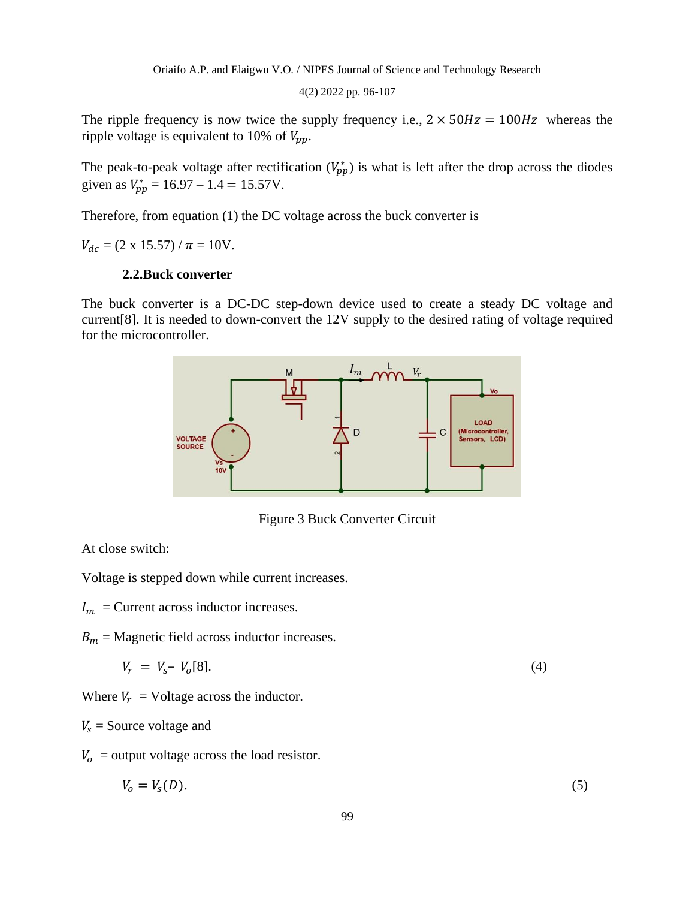4(2) 2022 pp. 96-107

The ripple frequency is now twice the supply frequency i.e.,  $2 \times 50$  Hz = 100 Hz whereas the ripple voltage is equivalent to 10% of  $V_{pp}$ .

The peak-to-peak voltage after rectification  $(V_{pp}^*)$  is what is left after the drop across the diodes given as  $V_{pp}^* = 16.97 - 1.4 = 15.57$ V.

Therefore, from equation (1) the DC voltage across the buck converter is

 $V_{dc} = (2 \times 15.57) / \pi = 10V.$ 

# **2.2.Buck converter**

The buck converter is a DC-DC step-down device used to create a steady DC voltage and current[8]. It is needed to down-convert the 12V supply to the desired rating of voltage required for the microcontroller.



Figure 3 Buck Converter Circuit

At close switch:

Voltage is stepped down while current increases.

 $I_m$  = Current across inductor increases.

 $B_m$  = Magnetic field across inductor increases.

$$
V_r = V_s - V_o[8]. \tag{4}
$$

Where  $V_r$  = Voltage across the inductor.

### $V_s$  = Source voltage and

 $V_0$  = output voltage across the load resistor.

$$
V_o = V_s(D). \tag{5}
$$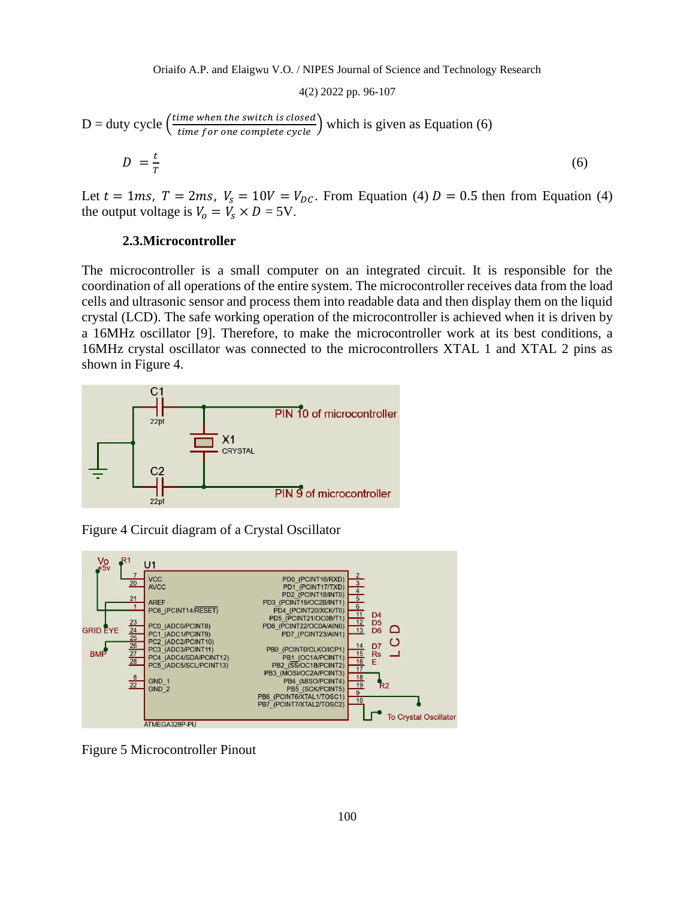$$
D = \text{duty cycle} \left( \frac{\text{time when the switch is closed}}{\text{time for one complete cycle}} \right) \text{ which is given as Equation (6)}
$$
\n
$$
D = \frac{t}{T}
$$
\n(6)

Let  $t = 1$ ms,  $T = 2$ ms,  $V_s = 10V = V_{DC}$ . From Equation (4)  $D = 0.5$  then from Equation (4) the output voltage is  $V_0 = V_s \times D = 5V$ .

### **2.3.Microcontroller**

The microcontroller is a small computer on an integrated circuit. It is responsible for the coordination of all operations of the entire system. The microcontroller receives data from the load cells and ultrasonic sensor and process them into readable data and then display them on the liquid crystal (LCD). The safe working operation of the microcontroller is achieved when it is driven by a 16MHz oscillator [9]. Therefore, to make the microcontroller work at its best conditions, a 16MHz crystal oscillator was connected to the microcontrollers XTAL 1 and XTAL 2 pins as shown in Figure 4.



Figure 4 Circuit diagram of a Crystal Oscillator



Figure 5 Microcontroller Pinout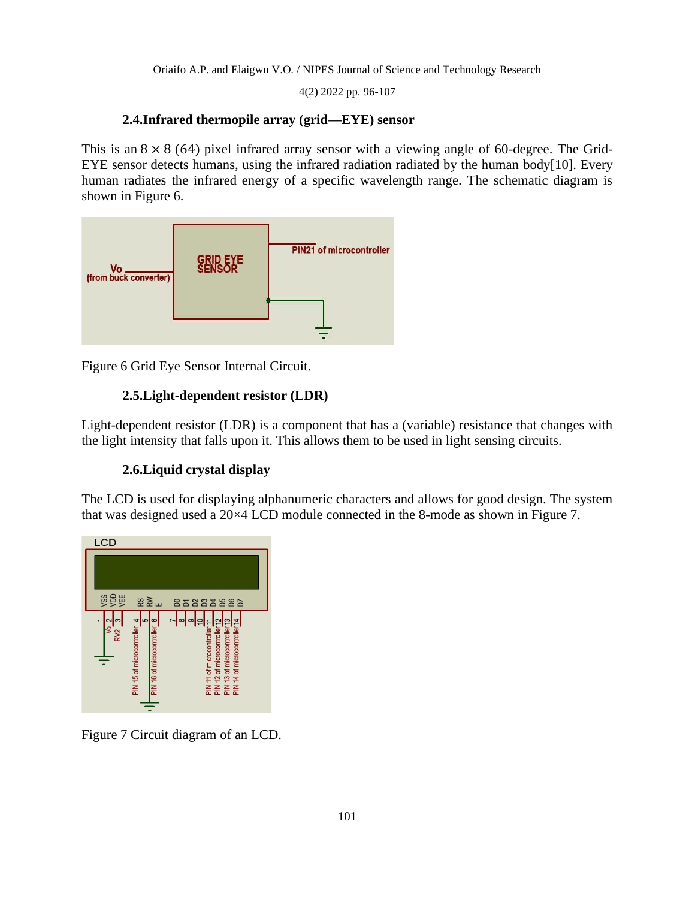4(2) 2022 pp. 96-107

# **2.4.Infrared thermopile array (grid—EYE) sensor**

This is an  $8 \times 8$  (64) pixel infrared array sensor with a viewing angle of 60-degree. The Grid-EYE sensor detects humans, using the infrared radiation radiated by the human body[10]. Every human radiates the infrared energy of a specific wavelength range. The schematic diagram is shown in Figure 6.



Figure 6 Grid Eye Sensor Internal Circuit.

# **2.5.Light-dependent resistor (LDR)**

Light-dependent resistor (LDR) is a component that has a (variable) resistance that changes with the light intensity that falls upon it. This allows them to be used in light sensing circuits.

# **2.6.Liquid crystal display**

The LCD is used for displaying alphanumeric characters and allows for good design. The system that was designed used a 20×4 LCD module connected in the 8-mode as shown in Figure 7.



Figure 7 Circuit diagram of an LCD.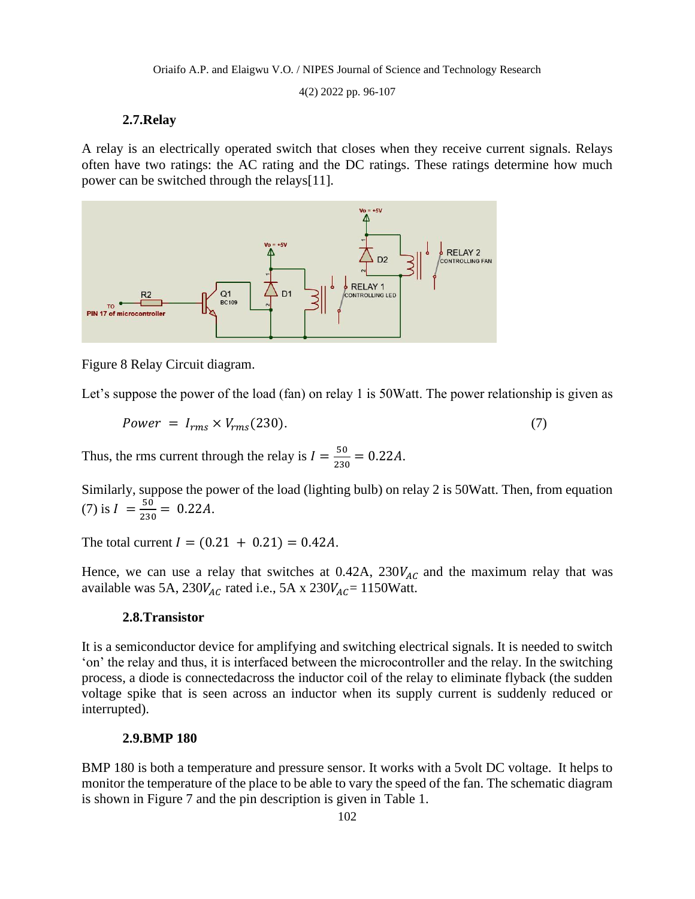4(2) 2022 pp. 96-107

## **2.7.Relay**

A relay is an electrically operated switch that closes when they receive current signals. Relays often have two ratings: the AC rating and the DC ratings. These ratings determine how much power can be switched through the relays[11].



Figure 8 Relay Circuit diagram.

Let's suppose the power of the load (fan) on relay 1 is 50 Watt. The power relationship is given as

$$
Power = I_{rms} \times V_{rms}(230). \tag{7}
$$

Thus, the rms current through the relay is  $I = \frac{50}{200}$  $\frac{50}{230} = 0.22A$ .

Similarly, suppose the power of the load (lighting bulb) on relay 2 is 50Watt. Then, from equation (7) is  $I = \frac{50}{336}$  $\frac{30}{230} = 0.22A$ .

The total current  $I = (0.21 + 0.21) = 0.42A$ .

Hence, we can use a relay that switches at 0.42A,  $230V_{AC}$  and the maximum relay that was available was 5A,  $230V_{AC}$  rated i.e., 5A x  $230V_{AC} = 1150W$ att.

## **2.8.Transistor**

It is a semiconductor device for amplifying and switching electrical signals. It is needed to switch 'on' the relay and thus, it is interfaced between the microcontroller and the relay. In the switching process, a diode is connectedacross the inductor coil of the relay to eliminate flyback (the sudden voltage spike that is seen across an inductor when its supply current is suddenly reduced or interrupted).

# **2.9.BMP 180**

BMP 180 is both a temperature and pressure sensor. It works with a 5volt DC voltage. It helps to monitor the temperature of the place to be able to vary the speed of the fan. The schematic diagram is shown in Figure 7 and the pin description is given in Table 1.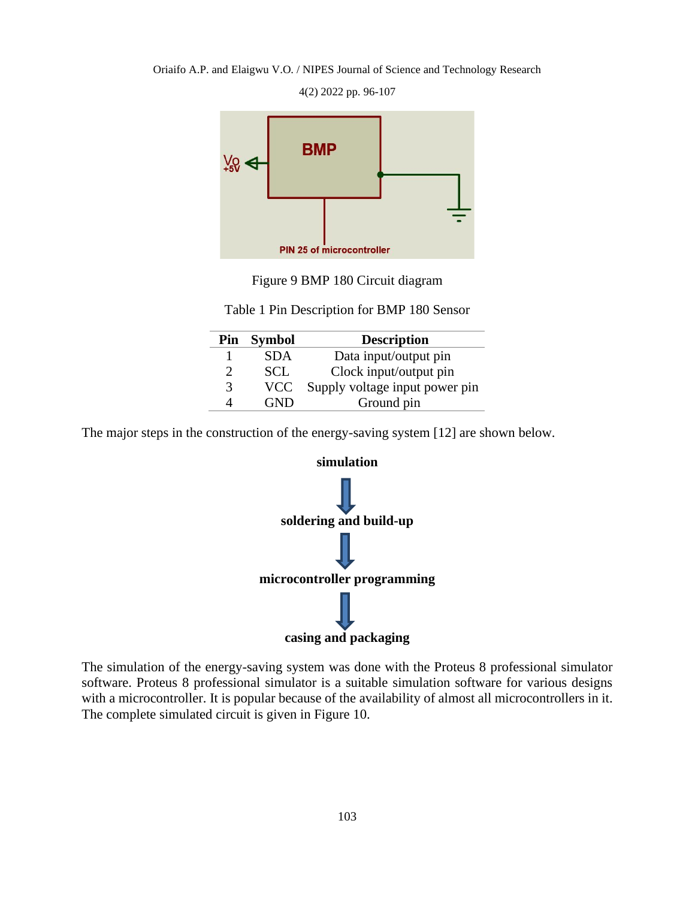**BMP** PIN 25 of microcontroller

4(2) 2022 pp. 96-107



Table 1 Pin Description for BMP 180 Sensor

|   | Pin Symbol | <b>Description</b>             |  |
|---|------------|--------------------------------|--|
|   | <b>SDA</b> | Data input/output pin          |  |
| 2 | SCL        | Clock input/output pin         |  |
| 3 | <b>VCC</b> | Supply voltage input power pin |  |
|   |            | Ground pin                     |  |

The major steps in the construction of the energy-saving system [12] are shown below.



The simulation of the energy-saving system was done with the Proteus 8 professional simulator software. Proteus 8 professional simulator is a suitable simulation software for various designs with a microcontroller. It is popular because of the availability of almost all microcontrollers in it. The complete simulated circuit is given in Figure 10.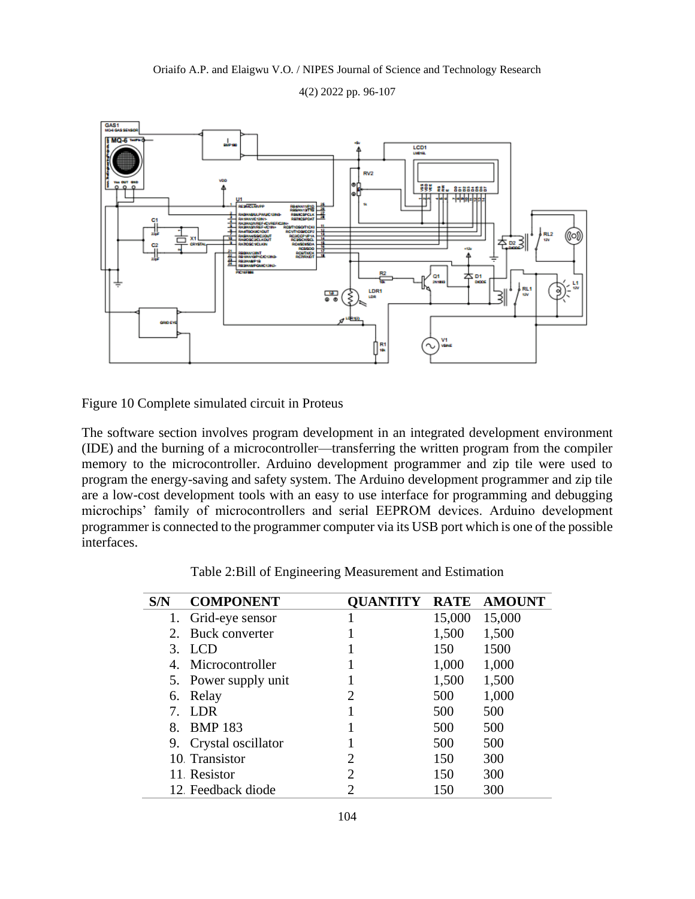4(2) 2022 pp. 96-107



Figure 10 Complete simulated circuit in Proteus

The software section involves program development in an integrated development environment (IDE) and the burning of a microcontroller—transferring the written program from the compiler memory to the microcontroller. Arduino development programmer and zip tile were used to program the energy-saving and safety system. The Arduino development programmer and zip tile are a low-cost development tools with an easy to use interface for programming and debugging microchips' family of microcontrollers and serial EEPROM devices. Arduino development programmer is connected to the programmer computer via its USB port which is one of the possible interfaces.

|  | Table 2: Bill of Engineering Measurement and Estimation |  |
|--|---------------------------------------------------------|--|
|--|---------------------------------------------------------|--|

| S/N | <b>COMPONENT</b>     |                             | <b>RATE</b> | <b>AMOUNT</b> |
|-----|----------------------|-----------------------------|-------------|---------------|
|     | 1. Grid-eye sensor   |                             | 15,000      | 15,000        |
| 2.  | Buck converter       |                             | 1,500       | 1,500         |
| 3.  | <b>LCD</b>           |                             | 150         | 1500          |
| 4.  | Microcontroller      |                             | 1,000       | 1,000         |
|     | 5. Power supply unit |                             | 1,500       | 1,500         |
| 6.  | Relay                | 2                           | 500         | 1,000         |
|     | LDR.                 |                             | 500         | 500           |
| 8.  | <b>BMP 183</b>       |                             | 500         | 500           |
| 9.  | Crystal oscillator   |                             | 500         | 500           |
|     | 10 Transistor        | 2                           | 150         | 300           |
|     | 11 Resistor          | $\mathcal{D}_{\mathcal{L}}$ | 150         | 300           |
|     | 12 Feedback diode    |                             | 150         | 300           |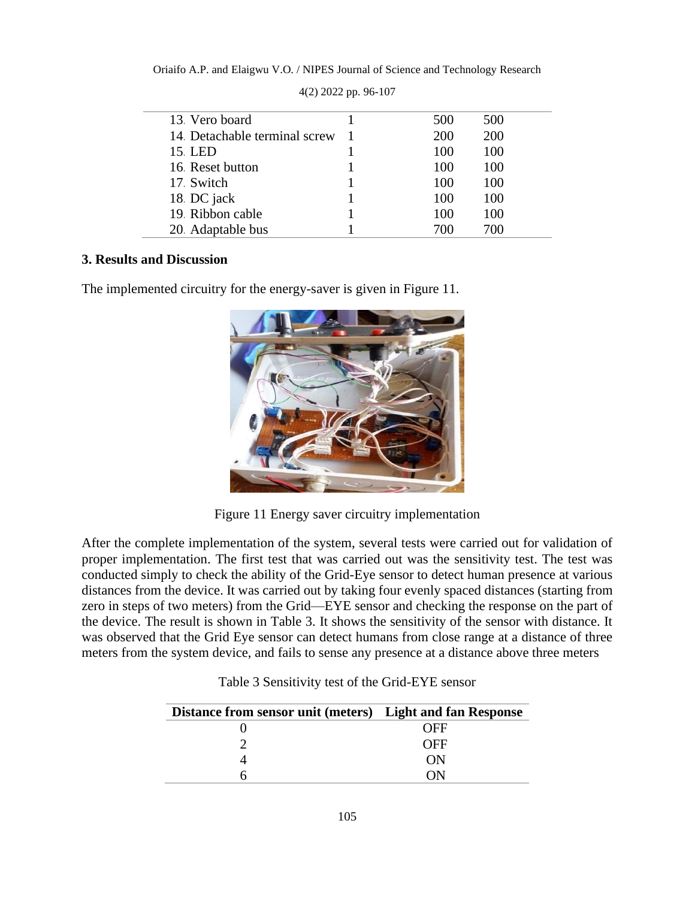| 13. Vero board               | 500 | 500 |
|------------------------------|-----|-----|
| 14 Detachable terminal screw | 200 | 200 |
| 15 LED                       | 100 | 100 |
| 16 Reset button              | 100 | 100 |
| 17 Switch                    | 100 | 100 |
| 18 DC jack                   | 100 | 100 |
| 19 Ribbon cable              | 100 | 100 |
| 20 Adaptable bus             | 700 | 700 |

4(2) 2022 pp. 96-107

# **3. Results and Discussion**

The implemented circuitry for the energy-saver is given in Figure 11.



Figure 11 Energy saver circuitry implementation

After the complete implementation of the system, several tests were carried out for validation of proper implementation. The first test that was carried out was the sensitivity test. The test was conducted simply to check the ability of the Grid-Eye sensor to detect human presence at various distances from the device. It was carried out by taking four evenly spaced distances (starting from zero in steps of two meters) from the Grid—EYE sensor and checking the response on the part of the device. The result is shown in Table 3. It shows the sensitivity of the sensor with distance. It was observed that the Grid Eye sensor can detect humans from close range at a distance of three meters from the system device, and fails to sense any presence at a distance above three meters

| Distance from sensor unit (meters) Light and fan Response |     |
|-----------------------------------------------------------|-----|
|                                                           | OFF |
|                                                           | OFF |
|                                                           | ON) |
|                                                           |     |

Table 3 Sensitivity test of the Grid-EYE sensor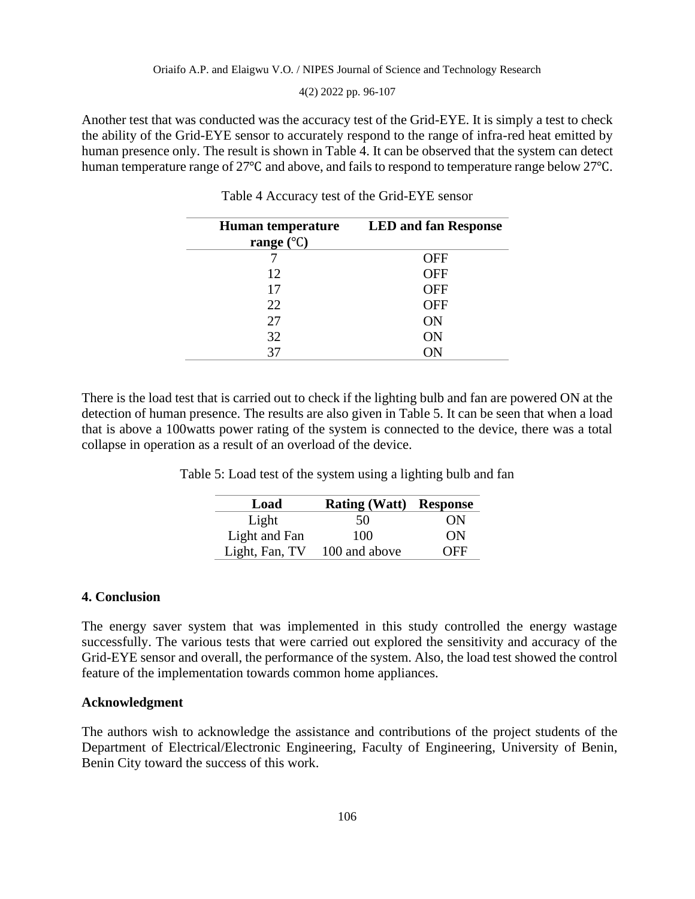4(2) 2022 pp. 96-107

Another test that was conducted was the accuracy test of the Grid-EYE. It is simply a test to check the ability of the Grid-EYE sensor to accurately respond to the range of infra-red heat emitted by human presence only. The result is shown in Table 4. It can be observed that the system can detect human temperature range of 27℃ and above, and fails to respond to temperature range below 27℃.

| <b>Human temperature</b><br>range $(^{\circ}C)$ | <b>LED and fan Response</b> |
|-------------------------------------------------|-----------------------------|
|                                                 | OFF                         |
| 12                                              | <b>OFF</b>                  |
| 17                                              | <b>OFF</b>                  |
| 22                                              | <b>OFF</b>                  |
| 27                                              | ON                          |
| 32                                              | ON                          |
| 37                                              | OΝ                          |

Table 4 Accuracy test of the Grid-EYE sensor

There is the load test that is carried out to check if the lighting bulb and fan are powered ON at the detection of human presence. The results are also given in Table 5. It can be seen that when a load that is above a 100watts power rating of the system is connected to the device, there was a total collapse in operation as a result of an overload of the device.

Table 5: Load test of the system using a lighting bulb and fan

| Load           | <b>Rating (Watt) Response</b> |     |
|----------------|-------------------------------|-----|
| Light          | 50                            | ON  |
| Light and Fan  | 100                           | ON  |
| Light, Fan, TV | 100 and above                 | OFF |

### **4. Conclusion**

The energy saver system that was implemented in this study controlled the energy wastage successfully. The various tests that were carried out explored the sensitivity and accuracy of the Grid-EYE sensor and overall, the performance of the system. Also, the load test showed the control feature of the implementation towards common home appliances.

#### **Acknowledgment**

The authors wish to acknowledge the assistance and contributions of the project students of the Department of Electrical/Electronic Engineering, Faculty of Engineering, University of Benin, Benin City toward the success of this work.